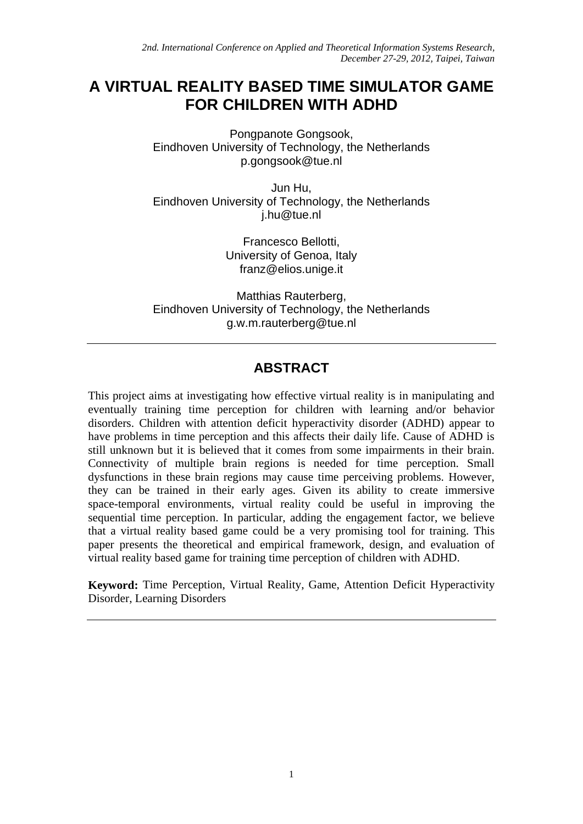# **A VIRTUAL REALITY BASED TIME SIMULATOR GAME FOR CHILDREN WITH ADHD**

Pongpanote Gongsook, Eindhoven University of Technology, the Netherlands p.gongsook@tue.nl

Jun Hu, Eindhoven University of Technology, the Netherlands j.hu@tue.nl

> Francesco Bellotti, University of Genoa, Italy franz@elios.unige.it

Matthias Rauterberg, Eindhoven University of Technology, the Netherlands g.w.m.rauterberg@tue.nl

## **ABSTRACT**

This project aims at investigating how effective virtual reality is in manipulating and eventually training time perception for children with learning and/or behavior disorders. Children with attention deficit hyperactivity disorder (ADHD) appear to have problems in time perception and this affects their daily life. Cause of ADHD is still unknown but it is believed that it comes from some impairments in their brain. Connectivity of multiple brain regions is needed for time perception. Small dysfunctions in these brain regions may cause time perceiving problems. However, they can be trained in their early ages. Given its ability to create immersive space-temporal environments, virtual reality could be useful in improving the sequential time perception. In particular, adding the engagement factor, we believe that a virtual reality based game could be a very promising tool for training. This paper presents the theoretical and empirical framework, design, and evaluation of virtual reality based game for training time perception of children with ADHD.

**Keyword:** Time Perception, Virtual Reality, Game, Attention Deficit Hyperactivity Disorder, Learning Disorders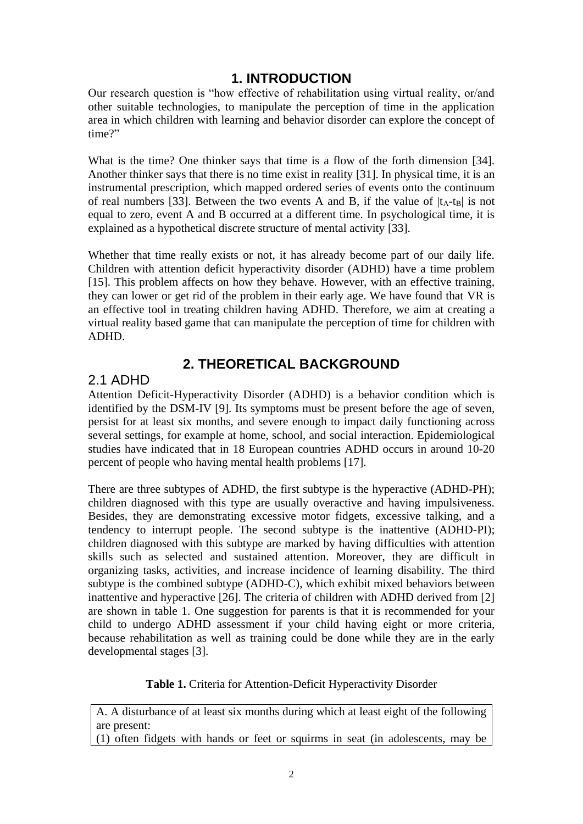## **1. INTRODUCTION**

Our research question is "how effective of rehabilitation using virtual reality, or/and other suitable technologies, to manipulate the perception of time in the application area in which children with learning and behavior disorder can explore the concept of time?"

What is the time? One thinker says that time is a flow of the forth dimension [34]. Another thinker says that there is no time exist in reality [31]. In physical time, it is an instrumental prescription, which mapped ordered series of events onto the continuum of real numbers [33]. Between the two events A and B, if the value of  $|t_A-t_B|$  is not equal to zero, event A and B occurred at a different time. In psychological time, it is explained as a hypothetical discrete structure of mental activity [33].

Whether that time really exists or not, it has already become part of our daily life. Children with attention deficit hyperactivity disorder (ADHD) have a time problem [15]. This problem affects on how they behave. However, with an effective training, they can lower or get rid of the problem in their early age. We have found that VR is an effective tool in treating children having ADHD. Therefore, we aim at creating a virtual reality based game that can manipulate the perception of time for children with ADHD.

## **2. THEORETICAL BACKGROUND**

#### 2.1 ADHD

Attention Deficit-Hyperactivity Disorder (ADHD) is a behavior condition which is identified by the DSM-IV [9]. Its symptoms must be present before the age of seven, persist for at least six months, and severe enough to impact daily functioning across several settings, for example at home, school, and social interaction. Epidemiological studies have indicated that in 18 European countries ADHD occurs in around 10-20 percent of people who having mental health problems [17].

There are three subtypes of ADHD, the first subtype is the hyperactive (ADHD-PH); children diagnosed with this type are usually overactive and having impulsiveness. Besides, they are demonstrating excessive motor fidgets, excessive talking, and a tendency to interrupt people. The second subtype is the inattentive (ADHD-PI); children diagnosed with this subtype are marked by having difficulties with attention skills such as selected and sustained attention. Moreover, they are difficult in organizing tasks, activities, and increase incidence of learning disability. The third subtype is the combined subtype (ADHD-C), which exhibit mixed behaviors between inattentive and hyperactive [26]. The criteria of children with ADHD derived from [2] are shown in table 1. One suggestion for parents is that it is recommended for your child to undergo ADHD assessment if your child having eight or more criteria, because rehabilitation as well as training could be done while they are in the early developmental stages [3].

**Table 1.** Criteria for Attention-Deficit Hyperactivity Disorder

A. A disturbance of at least six months during which at least eight of the following are present:

(1) often fidgets with hands or feet or squirms in seat (in adolescents, may be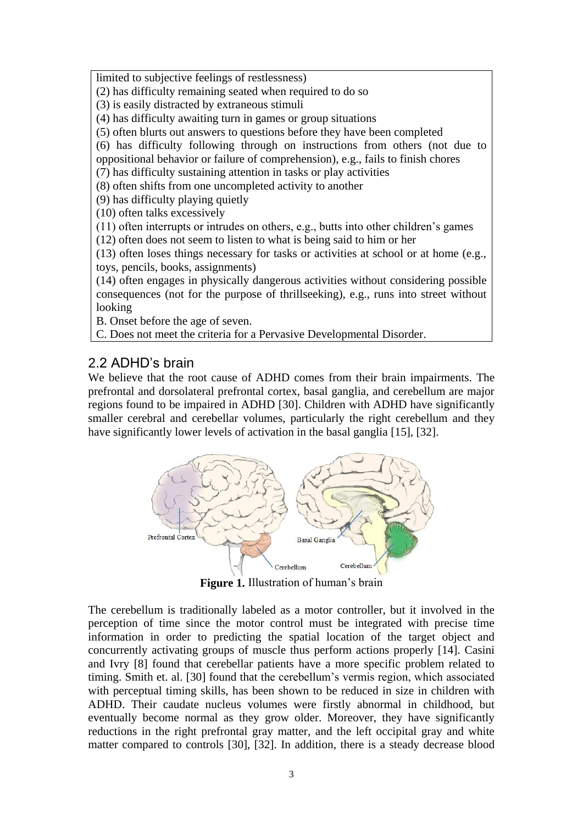limited to subjective feelings of restlessness)

(2) has difficulty remaining seated when required to do so

(3) is easily distracted by extraneous stimuli

(4) has difficulty awaiting turn in games or group situations

(5) often blurts out answers to questions before they have been completed

(6) has difficulty following through on instructions from others (not due to oppositional behavior or failure of comprehension), e.g., fails to finish chores

(7) has difficulty sustaining attention in tasks or play activities

(8) often shifts from one uncompleted activity to another

(9) has difficulty playing quietly

(10) often talks excessively

(11) often interrupts or intrudes on others, e.g., butts into other children's games

(12) often does not seem to listen to what is being said to him or her

(13) often loses things necessary for tasks or activities at school or at home (e.g., toys, pencils, books, assignments)

(14) often engages in physically dangerous activities without considering possible consequences (not for the purpose of thrillseeking), e.g., runs into street without looking

B. Onset before the age of seven.

C. Does not meet the criteria for a Pervasive Developmental Disorder.

## 2.2 ADHD's brain

We believe that the root cause of ADHD comes from their brain impairments. The prefrontal and dorsolateral prefrontal cortex, basal ganglia, and cerebellum are major regions found to be impaired in ADHD [30]. Children with ADHD have significantly smaller cerebral and cerebellar volumes, particularly the right cerebellum and they have significantly lower levels of activation in the basal ganglia [15], [32].



**Figure 1.** Illustration of human's brain

The cerebellum is traditionally labeled as a motor controller, but it involved in the perception of time since the motor control must be integrated with precise time information in order to predicting the spatial location of the target object and concurrently activating groups of muscle thus perform actions properly [14]. Casini and Ivry [8] found that cerebellar patients have a more specific problem related to timing. Smith et. al. [30] found that the cerebellum's vermis region, which associated with perceptual timing skills, has been shown to be reduced in size in children with ADHD. Their caudate nucleus volumes were firstly abnormal in childhood, but eventually become normal as they grow older. Moreover, they have significantly reductions in the right prefrontal gray matter, and the left occipital gray and white matter compared to controls [30], [32]. In addition, there is a steady decrease blood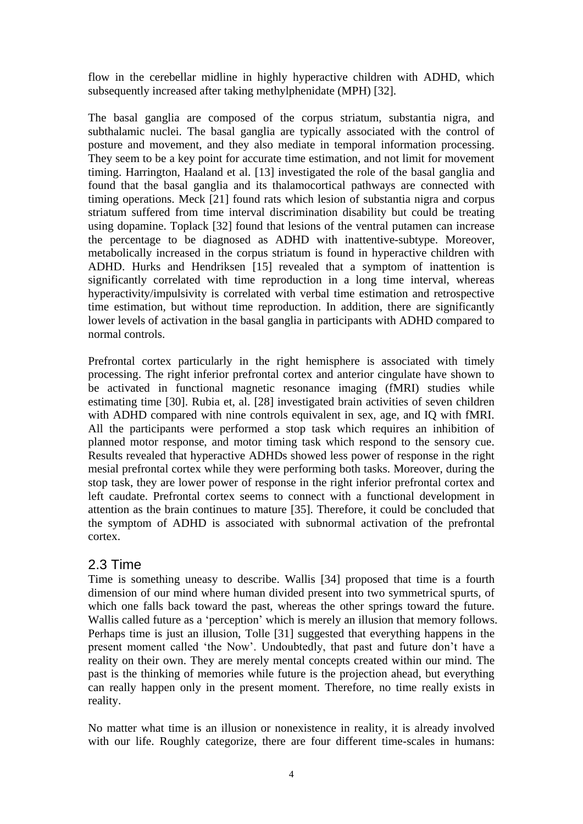flow in the cerebellar midline in highly hyperactive children with ADHD, which subsequently increased after taking methylphenidate (MPH) [32].

The basal ganglia are composed of the corpus striatum, substantia nigra, and subthalamic nuclei. The basal ganglia are typically associated with the control of posture and movement, and they also mediate in temporal information processing. They seem to be a key point for accurate time estimation, and not limit for movement timing. Harrington, Haaland et al. [13] investigated the role of the basal ganglia and found that the basal ganglia and its thalamocortical pathways are connected with timing operations. Meck [21] found rats which lesion of substantia nigra and corpus striatum suffered from time interval discrimination disability but could be treating using dopamine. Toplack [32] found that lesions of the ventral putamen can increase the percentage to be diagnosed as ADHD with inattentive-subtype. Moreover, metabolically increased in the corpus striatum is found in hyperactive children with ADHD. Hurks and Hendriksen [15] revealed that a symptom of inattention is significantly correlated with time reproduction in a long time interval, whereas hyperactivity/impulsivity is correlated with verbal time estimation and retrospective time estimation, but without time reproduction. In addition, there are significantly lower levels of activation in the basal ganglia in participants with ADHD compared to normal controls.

Prefrontal cortex particularly in the right hemisphere is associated with timely processing. The right inferior prefrontal cortex and anterior cingulate have shown to be activated in functional magnetic resonance imaging (fMRI) studies while estimating time [30]. Rubia et, al. [28] investigated brain activities of seven children with ADHD compared with nine controls equivalent in sex, age, and IQ with fMRI. All the participants were performed a stop task which requires an inhibition of planned motor response, and motor timing task which respond to the sensory cue. Results revealed that hyperactive ADHDs showed less power of response in the right mesial prefrontal cortex while they were performing both tasks. Moreover, during the stop task, they are lower power of response in the right inferior prefrontal cortex and left caudate. Prefrontal cortex seems to connect with a functional development in attention as the brain continues to mature [35]. Therefore, it could be concluded that the symptom of ADHD is associated with subnormal activation of the prefrontal cortex.

#### 2.3 Time

Time is something uneasy to describe. Wallis [34] proposed that time is a fourth dimension of our mind where human divided present into two symmetrical spurts, of which one falls back toward the past, whereas the other springs toward the future. Wallis called future as a 'perception' which is merely an illusion that memory follows. Perhaps time is just an illusion, Tolle [31] suggested that everything happens in the present moment called 'the Now'. Undoubtedly, that past and future don't have a reality on their own. They are merely mental concepts created within our mind. The past is the thinking of memories while future is the projection ahead, but everything can really happen only in the present moment. Therefore, no time really exists in reality.

No matter what time is an illusion or nonexistence in reality, it is already involved with our life. Roughly categorize, there are four different time-scales in humans: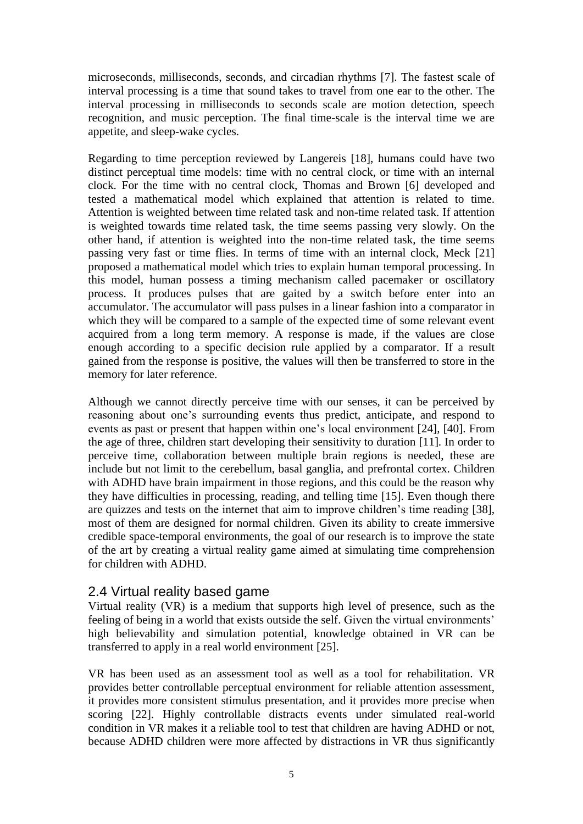microseconds, milliseconds, seconds, and circadian rhythms [7]. The fastest scale of interval processing is a time that sound takes to travel from one ear to the other. The interval processing in milliseconds to seconds scale are motion detection, speech recognition, and music perception. The final time-scale is the interval time we are appetite, and sleep-wake cycles.

Regarding to time perception reviewed by Langereis [18], humans could have two distinct perceptual time models: time with no central clock, or time with an internal clock. For the time with no central clock, Thomas and Brown [6] developed and tested a mathematical model which explained that attention is related to time. Attention is weighted between time related task and non-time related task. If attention is weighted towards time related task, the time seems passing very slowly. On the other hand, if attention is weighted into the non-time related task, the time seems passing very fast or time flies. In terms of time with an internal clock, Meck [21] proposed a mathematical model which tries to explain human temporal processing. In this model, human possess a timing mechanism called pacemaker or oscillatory process. It produces pulses that are gaited by a switch before enter into an accumulator. The accumulator will pass pulses in a linear fashion into a comparator in which they will be compared to a sample of the expected time of some relevant event acquired from a long term memory. A response is made, if the values are close enough according to a specific decision rule applied by a comparator. If a result gained from the response is positive, the values will then be transferred to store in the memory for later reference.

Although we cannot directly perceive time with our senses, it can be perceived by reasoning about one's surrounding events thus predict, anticipate, and respond to events as past or present that happen within one's local environment [24], [40]. From the age of three, children start developing their sensitivity to duration [11]. In order to perceive time, collaboration between multiple brain regions is needed, these are include but not limit to the cerebellum, basal ganglia, and prefrontal cortex. Children with ADHD have brain impairment in those regions, and this could be the reason why they have difficulties in processing, reading, and telling time [15]. Even though there are quizzes and tests on the internet that aim to improve children's time reading [38], most of them are designed for normal children. Given its ability to create immersive credible space-temporal environments, the goal of our research is to improve the state of the art by creating a virtual reality game aimed at simulating time comprehension for children with ADHD.

#### 2.4 Virtual reality based game

Virtual reality (VR) is a medium that supports high level of presence, such as the feeling of being in a world that exists outside the self. Given the virtual environments' high believability and simulation potential, knowledge obtained in VR can be transferred to apply in a real world environment [25].

VR has been used as an assessment tool as well as a tool for rehabilitation. VR provides better controllable perceptual environment for reliable attention assessment, it provides more consistent stimulus presentation, and it provides more precise when scoring [22]. Highly controllable distracts events under simulated real-world condition in VR makes it a reliable tool to test that children are having ADHD or not, because ADHD children were more affected by distractions in VR thus significantly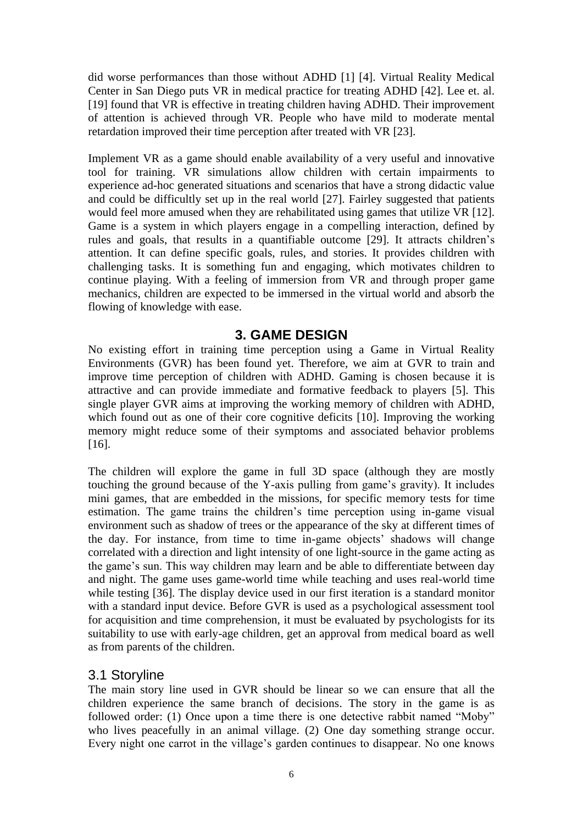did worse performances than those without ADHD [1] [4]. Virtual Reality Medical Center in San Diego puts VR in medical practice for treating ADHD [42]. Lee et. al. [19] found that VR is effective in treating children having ADHD. Their improvement of attention is achieved through VR. People who have mild to moderate mental retardation improved their time perception after treated with VR [23].

Implement VR as a game should enable availability of a very useful and innovative tool for training. VR simulations allow children with certain impairments to experience ad-hoc generated situations and scenarios that have a strong didactic value and could be difficultly set up in the real world [27]. Fairley suggested that patients would feel more amused when they are rehabilitated using games that utilize VR [12]. Game is a system in which players engage in a compelling interaction, defined by rules and goals, that results in a quantifiable outcome [29]. It attracts children's attention. It can define specific goals, rules, and stories. It provides children with challenging tasks. It is something fun and engaging, which motivates children to continue playing. With a feeling of immersion from VR and through proper game mechanics, children are expected to be immersed in the virtual world and absorb the flowing of knowledge with ease.

#### **3. GAME DESIGN**

No existing effort in training time perception using a Game in Virtual Reality Environments (GVR) has been found yet. Therefore, we aim at GVR to train and improve time perception of children with ADHD. Gaming is chosen because it is attractive and can provide immediate and formative feedback to players [5]. This single player GVR aims at improving the working memory of children with ADHD, which found out as one of their core cognitive deficits [10]. Improving the working memory might reduce some of their symptoms and associated behavior problems [16].

The children will explore the game in full 3D space (although they are mostly touching the ground because of the Y-axis pulling from game's gravity). It includes mini games, that are embedded in the missions, for specific memory tests for time estimation. The game trains the children's time perception using in-game visual environment such as shadow of trees or the appearance of the sky at different times of the day. For instance, from time to time in-game objects' shadows will change correlated with a direction and light intensity of one light-source in the game acting as the game's sun. This way children may learn and be able to differentiate between day and night. The game uses game-world time while teaching and uses real-world time while testing [36]. The display device used in our first iteration is a standard monitor with a standard input device. Before GVR is used as a psychological assessment tool for acquisition and time comprehension, it must be evaluated by psychologists for its suitability to use with early-age children, get an approval from medical board as well as from parents of the children.

#### 3.1 Storyline

The main story line used in GVR should be linear so we can ensure that all the children experience the same branch of decisions. The story in the game is as followed order: (1) Once upon a time there is one detective rabbit named "Moby" who lives peacefully in an animal village. (2) One day something strange occur. Every night one carrot in the village's garden continues to disappear. No one knows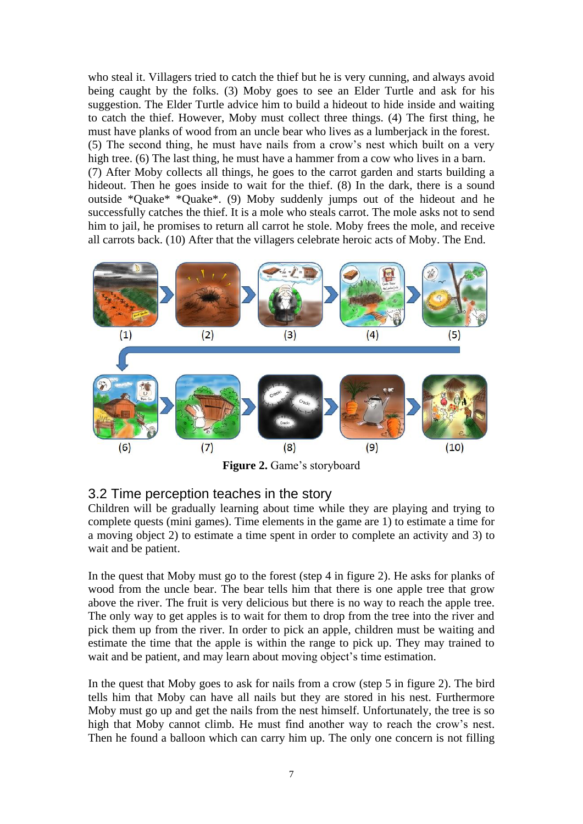who steal it. Villagers tried to catch the thief but he is very cunning, and always avoid being caught by the folks. (3) Moby goes to see an Elder Turtle and ask for his suggestion. The Elder Turtle advice him to build a hideout to hide inside and waiting to catch the thief. However, Moby must collect three things. (4) The first thing, he must have planks of wood from an uncle bear who lives as a lumberjack in the forest. (5) The second thing, he must have nails from a crow's nest which built on a very high tree. (6) The last thing, he must have a hammer from a cow who lives in a barn. (7) After Moby collects all things, he goes to the carrot garden and starts building a hideout. Then he goes inside to wait for the thief. (8) In the dark, there is a sound outside \*Quake\* \*Quake\*. (9) Moby suddenly jumps out of the hideout and he successfully catches the thief. It is a mole who steals carrot. The mole asks not to send him to jail, he promises to return all carrot he stole. Moby frees the mole, and receive all carrots back. (10) After that the villagers celebrate heroic acts of Moby. The End.



**Figure 2.** Game's storyboard

#### 3.2 Time perception teaches in the story

Children will be gradually learning about time while they are playing and trying to complete quests (mini games). Time elements in the game are 1) to estimate a time for a moving object 2) to estimate a time spent in order to complete an activity and 3) to wait and be patient.

In the quest that Moby must go to the forest (step 4 in figure 2). He asks for planks of wood from the uncle bear. The bear tells him that there is one apple tree that grow above the river. The fruit is very delicious but there is no way to reach the apple tree. The only way to get apples is to wait for them to drop from the tree into the river and pick them up from the river. In order to pick an apple, children must be waiting and estimate the time that the apple is within the range to pick up. They may trained to wait and be patient, and may learn about moving object's time estimation.

In the quest that Moby goes to ask for nails from a crow (step 5 in figure 2). The bird tells him that Moby can have all nails but they are stored in his nest. Furthermore Moby must go up and get the nails from the nest himself. Unfortunately, the tree is so high that Moby cannot climb. He must find another way to reach the crow's nest. Then he found a balloon which can carry him up. The only one concern is not filling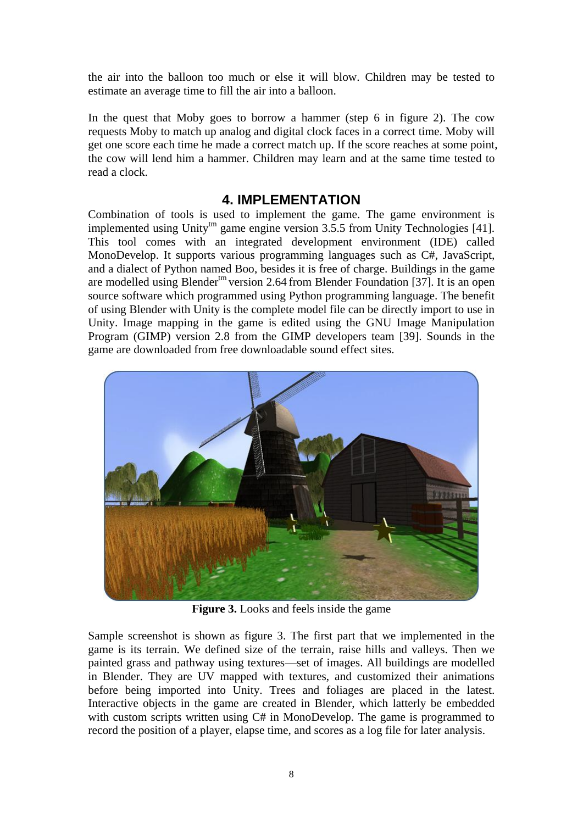the air into the balloon too much or else it will blow. Children may be tested to estimate an average time to fill the air into a balloon.

In the quest that Moby goes to borrow a hammer (step 6 in figure 2). The cow requests Moby to match up analog and digital clock faces in a correct time. Moby will get one score each time he made a correct match up. If the score reaches at some point, the cow will lend him a hammer. Children may learn and at the same time tested to read a clock.

#### **4. IMPLEMENTATION**

Combination of tools is used to implement the game. The game environment is implemented using Unity<sup>tm</sup> game engine version  $3.5.5$  from Unity Technologies [41]. This tool comes with an integrated development environment (IDE) called MonoDevelop. It supports various programming languages such as C#, JavaScript, and a dialect of Python named Boo, besides it is free of charge. Buildings in the game are modelled using Blender<sup>tm</sup> version 2.64 from Blender Foundation [37]. It is an open source software which programmed using Python programming language. The benefit of using Blender with Unity is the complete model file can be directly import to use in Unity. Image mapping in the game is edited using the GNU Image Manipulation Program (GIMP) version 2.8 from the GIMP developers team [39]. Sounds in the game are downloaded from free downloadable sound effect sites.



**Figure 3.** Looks and feels inside the game

Sample screenshot is shown as figure 3. The first part that we implemented in the game is its terrain. We defined size of the terrain, raise hills and valleys. Then we painted grass and pathway using textures—set of images. All buildings are modelled in Blender. They are UV mapped with textures, and customized their animations before being imported into Unity. Trees and foliages are placed in the latest. Interactive objects in the game are created in Blender, which latterly be embedded with custom scripts written using C# in MonoDevelop. The game is programmed to record the position of a player, elapse time, and scores as a log file for later analysis.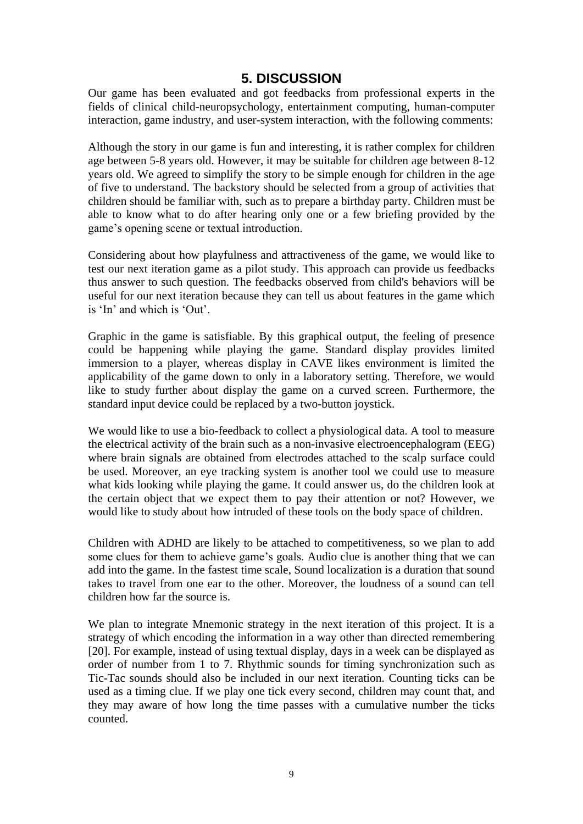## **5. DISCUSSION**

Our game has been evaluated and got feedbacks from professional experts in the fields of clinical child-neuropsychology, entertainment computing, human-computer interaction, game industry, and user-system interaction, with the following comments:

Although the story in our game is fun and interesting, it is rather complex for children age between 5-8 years old. However, it may be suitable for children age between 8-12 years old. We agreed to simplify the story to be simple enough for children in the age of five to understand. The backstory should be selected from a group of activities that children should be familiar with, such as to prepare a birthday party. Children must be able to know what to do after hearing only one or a few briefing provided by the game's opening scene or textual introduction.

Considering about how playfulness and attractiveness of the game, we would like to test our next iteration game as a pilot study. This approach can provide us feedbacks thus answer to such question. The feedbacks observed from child's behaviors will be useful for our next iteration because they can tell us about features in the game which is 'In' and which is 'Out'.

Graphic in the game is satisfiable. By this graphical output, the feeling of presence could be happening while playing the game. Standard display provides limited immersion to a player, whereas display in CAVE likes environment is limited the applicability of the game down to only in a laboratory setting. Therefore, we would like to study further about display the game on a curved screen. Furthermore, the standard input device could be replaced by a two-button joystick.

We would like to use a bio-feedback to collect a physiological data. A tool to measure the electrical activity of the brain such as a non-invasive electroencephalogram (EEG) where brain signals are obtained from electrodes attached to the scalp surface could be used. Moreover, an eye tracking system is another tool we could use to measure what kids looking while playing the game. It could answer us, do the children look at the certain object that we expect them to pay their attention or not? However, we would like to study about how intruded of these tools on the body space of children.

Children with ADHD are likely to be attached to competitiveness, so we plan to add some clues for them to achieve game's goals. Audio clue is another thing that we can add into the game. In the fastest time scale, Sound localization is a duration that sound takes to travel from one ear to the other. Moreover, the loudness of a sound can tell children how far the source is.

We plan to integrate Mnemonic strategy in the next iteration of this project. It is a strategy of which encoding the information in a way other than directed remembering [20]. For example, instead of using textual display, days in a week can be displayed as order of number from 1 to 7. Rhythmic sounds for timing synchronization such as Tic-Tac sounds should also be included in our next iteration. Counting ticks can be used as a timing clue. If we play one tick every second, children may count that, and they may aware of how long the time passes with a cumulative number the ticks counted.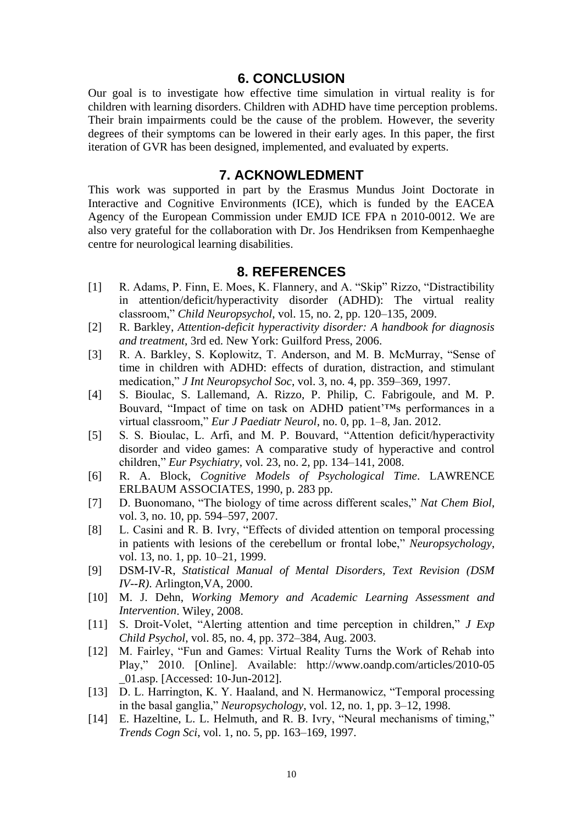#### **6. CONCLUSION**

Our goal is to investigate how effective time simulation in virtual reality is for children with learning disorders. Children with ADHD have time perception problems. Their brain impairments could be the cause of the problem. However, the severity degrees of their symptoms can be lowered in their early ages. In this paper, the first iteration of GVR has been designed, implemented, and evaluated by experts.

#### **7. ACKNOWLEDMENT**

This work was supported in part by the Erasmus Mundus Joint Doctorate in Interactive and Cognitive Environments (ICE), which is funded by the EACEA Agency of the European Commission under EMJD ICE FPA n 2010-0012. We are also very grateful for the collaboration with Dr. Jos Hendriksen from Kempenhaeghe centre for neurological learning disabilities.

#### **8. REFERENCES**

- [1] R. Adams, P. Finn, E. Moes, K. Flannery, and A. "Skip" Rizzo, "Distractibility in attention/deficit/hyperactivity disorder (ADHD): The virtual reality classroom," *Child Neuropsychol*, vol. 15, no. 2, pp. 120–135, 2009.
- [2] R. Barkley, *Attention-deficit hyperactivity disorder: A handbook for diagnosis and treatment*, 3rd ed. New York: Guilford Press, 2006.
- [3] R. A. Barkley, S. Koplowitz, T. Anderson, and M. B. McMurray, "Sense of time in children with ADHD: effects of duration, distraction, and stimulant medication," *J Int Neuropsychol Soc*, vol. 3, no. 4, pp. 359–369, 1997.
- [4] S. Bioulac, S. Lallemand, A. Rizzo, P. Philip, C. Fabrigoule, and M. P. Bouvard, "Impact of time on task on ADHD patient'™s performances in a virtual classroom," *Eur J Paediatr Neurol*, no. 0, pp. 1–8, Jan. 2012.
- [5] S. S. Bioulac, L. Arfi, and M. P. Bouvard, "Attention deficit/hyperactivity disorder and video games: A comparative study of hyperactive and control children," *Eur Psychiatry*, vol. 23, no. 2, pp. 134–141, 2008.
- [6] R. A. Block, *Cognitive Models of Psychological Time*. LAWRENCE ERLBAUM ASSOCIATES, 1990, p. 283 pp.
- [7] D. Buonomano, "The biology of time across different scales," *Nat Chem Biol*, vol. 3, no. 10, pp. 594–597, 2007.
- [8] L. Casini and R. B. Ivry, "Effects of divided attention on temporal processing in patients with lesions of the cerebellum or frontal lobe," *Neuropsychology*, vol. 13, no. 1, pp. 10–21, 1999.
- [9] DSM-IV-R, *Statistical Manual of Mental Disorders, Text Revision (DSM IV--R)*. Arlington,VA, 2000.
- [10] M. J. Dehn, *Working Memory and Academic Learning Assessment and Intervention*. Wiley, 2008.
- [11] S. Droit-Volet, "Alerting attention and time perception in children," *J Exp Child Psychol*, vol. 85, no. 4, pp. 372–384, Aug. 2003.
- [12] M. Fairley, "Fun and Games: Virtual Reality Turns the Work of Rehab into Play," 2010. [Online]. Available: http://www.oandp.com/articles/2010-05 \_01.asp. [Accessed: 10-Jun-2012].
- [13] D. L. Harrington, K. Y. Haaland, and N. Hermanowicz, "Temporal processing in the basal ganglia," *Neuropsychology*, vol. 12, no. 1, pp. 3–12, 1998.
- [14] E. Hazeltine, L. L. Helmuth, and R. B. Ivry, "Neural mechanisms of timing," *Trends Cogn Sci*, vol. 1, no. 5, pp. 163–169, 1997.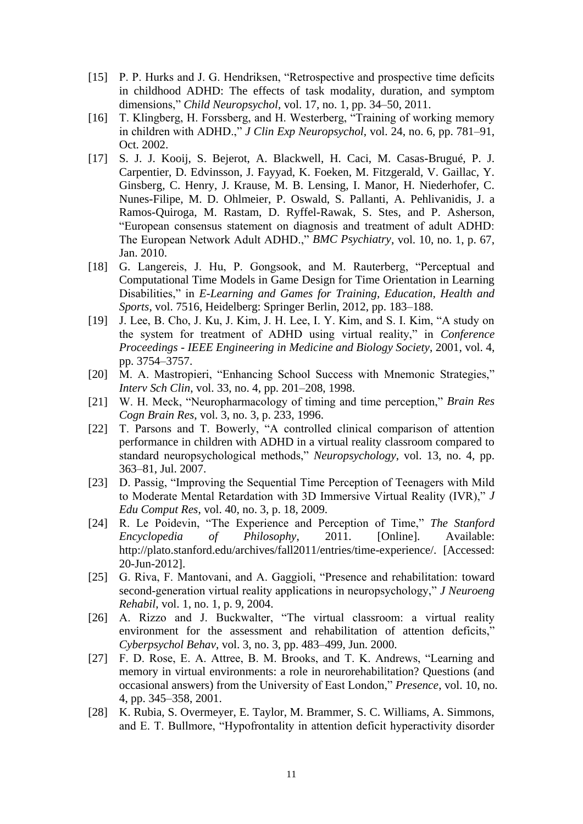- [15] P. P. Hurks and J. G. Hendriksen, "Retrospective and prospective time deficits in childhood ADHD: The effects of task modality, duration, and symptom dimensions," *Child Neuropsychol*, vol. 17, no. 1, pp. 34–50, 2011.
- [16] T. Klingberg, H. Forssberg, and H. Westerberg, "Training of working memory in children with ADHD.," *J Clin Exp Neuropsychol*, vol. 24, no. 6, pp. 781–91, Oct. 2002.
- [17] S. J. J. Kooij, S. Bejerot, A. Blackwell, H. Caci, M. Casas-Brugué, P. J. Carpentier, D. Edvinsson, J. Fayyad, K. Foeken, M. Fitzgerald, V. Gaillac, Y. Ginsberg, C. Henry, J. Krause, M. B. Lensing, I. Manor, H. Niederhofer, C. Nunes-Filipe, M. D. Ohlmeier, P. Oswald, S. Pallanti, A. Pehlivanidis, J. a Ramos-Quiroga, M. Rastam, D. Ryffel-Rawak, S. Stes, and P. Asherson, "European consensus statement on diagnosis and treatment of adult ADHD: The European Network Adult ADHD.," *BMC Psychiatry*, vol. 10, no. 1, p. 67, Jan. 2010.
- [18] G. Langereis, J. Hu, P. Gongsook, and M. Rauterberg, "Perceptual and Computational Time Models in Game Design for Time Orientation in Learning Disabilities," in *E-Learning and Games for Training, Education, Health and Sports*, vol. 7516, Heidelberg: Springer Berlin, 2012, pp. 183–188.
- [19] J. Lee, B. Cho, J. Ku, J. Kim, J. H. Lee, I. Y. Kim, and S. I. Kim, "A study on the system for treatment of ADHD using virtual reality," in *Conference Proceedings - IEEE Engineering in Medicine and Biology Society*, 2001, vol. 4, pp. 3754–3757.
- [20] M. A. Mastropieri, "Enhancing School Success with Mnemonic Strategies," *Interv Sch Clin*, vol. 33, no. 4, pp. 201–208, 1998.
- [21] W. H. Meck, "Neuropharmacology of timing and time perception," *Brain Res Cogn Brain Res*, vol. 3, no. 3, p. 233, 1996.
- [22] T. Parsons and T. Bowerly, "A controlled clinical comparison of attention performance in children with ADHD in a virtual reality classroom compared to standard neuropsychological methods," *Neuropsychology*, vol. 13, no. 4, pp. 363–81, Jul. 2007.
- [23] D. Passig, "Improving the Sequential Time Perception of Teenagers with Mild to Moderate Mental Retardation with 3D Immersive Virtual Reality (IVR)," *J Edu Comput Res*, vol. 40, no. 3, p. 18, 2009.
- [24] R. Le Poidevin, "The Experience and Perception of Time," *The Stanford Encyclopedia of Philosophy*, 2011. [Online]. Available: http://plato.stanford.edu/archives/fall2011/entries/time-experience/. [Accessed: 20-Jun-2012].
- [25] G. Riva, F. Mantovani, and A. Gaggioli, "Presence and rehabilitation: toward second-generation virtual reality applications in neuropsychology," *J Neuroeng Rehabil*, vol. 1, no. 1, p. 9, 2004.
- [26] A. Rizzo and J. Buckwalter, "The virtual classroom: a virtual reality environment for the assessment and rehabilitation of attention deficits," *Cyberpsychol Behav*, vol. 3, no. 3, pp. 483–499, Jun. 2000.
- [27] F. D. Rose, E. A. Attree, B. M. Brooks, and T. K. Andrews, "Learning and memory in virtual environments: a role in neurorehabilitation? Questions (and occasional answers) from the University of East London," *Presence*, vol. 10, no. 4, pp. 345–358, 2001.
- [28] K. Rubia, S. Overmeyer, E. Taylor, M. Brammer, S. C. Williams, A. Simmons, and E. T. Bullmore, "Hypofrontality in attention deficit hyperactivity disorder